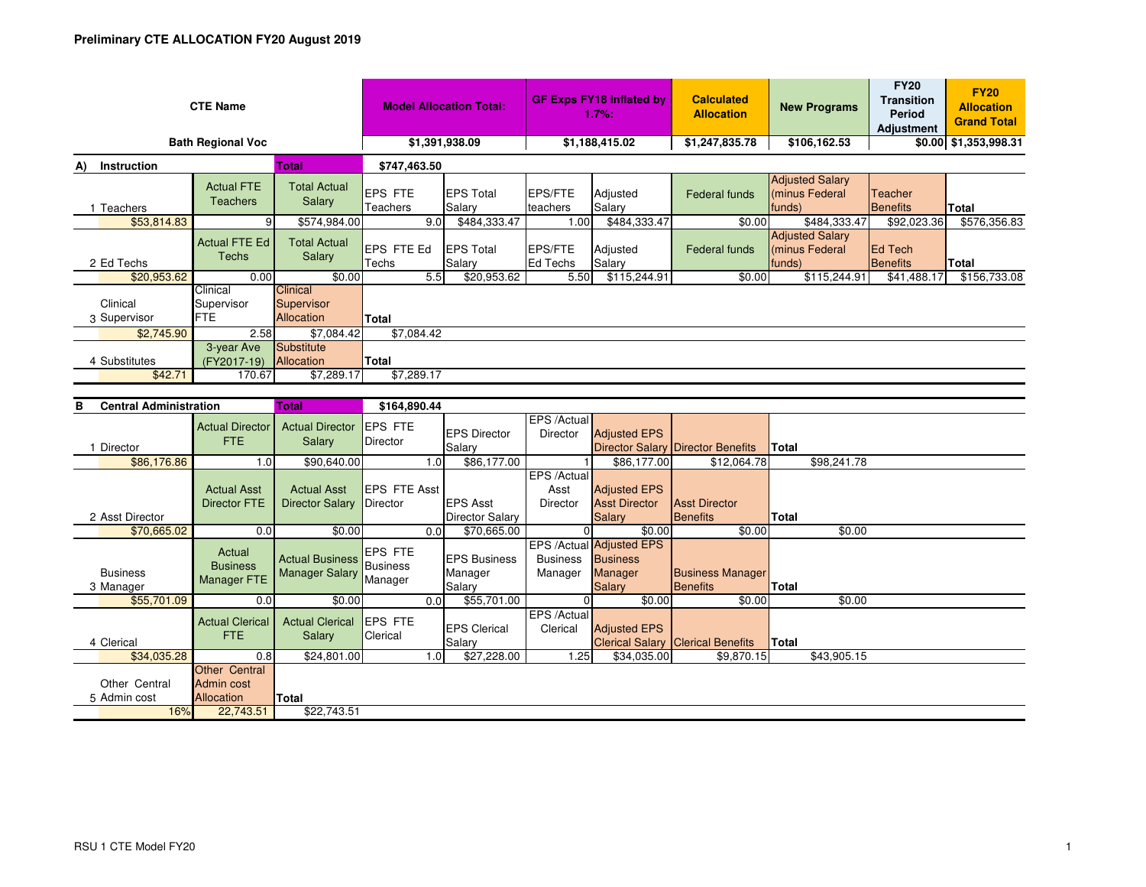| <b>CTE Name</b>                       | <b>Model Allocation Total:</b>       |                                                    | <b>GF Exps FY18 Inflated by</b><br>1.7%: |                            | <b>Calculated</b><br><b>Allocation</b> | <b>New Programs</b> | <b>FY20</b><br><b>Transition</b><br>Period<br><b>Adjustment</b> | <b>FY20</b><br><b>Allocation</b><br><b>Grand Total</b> |                            |              |
|---------------------------------------|--------------------------------------|----------------------------------------------------|------------------------------------------|----------------------------|----------------------------------------|---------------------|-----------------------------------------------------------------|--------------------------------------------------------|----------------------------|--------------|
| <b>Bath Regional Voc</b>              | \$1,391,938.09                       |                                                    | \$1,188,415.02                           |                            | \$1,247,835.78                         | \$106,162.53        | $$0.00 \, \$1,353,998.31$                                       |                                                        |                            |              |
| Instruction<br>A)                     |                                      | <b>Total</b>                                       | \$747,463.50                             |                            |                                        |                     |                                                                 |                                                        |                            |              |
| 1 Teachers                            | <b>Actual FTE</b><br><b>Teachers</b> | <b>Total Actual</b><br>Salary                      | EPS FTE<br>Teachers                      | <b>EPS Total</b><br>Salary | EPS/FTE<br>teachers                    | Adjusted<br>Salary  | Federal funds                                                   | <b>Adjusted Salary</b><br>(minus Federal<br>funds)     | Teacher<br><b>Benefits</b> | Total        |
| \$53,814.83                           | 9                                    | \$574,984.00                                       | 9.0 <sub>l</sub>                         | \$484,333.47               | 1.00                                   | \$484,333.47        | \$0.00                                                          | \$484,333.47                                           | \$92,023.36                | \$576,356.83 |
| 2 Ed Techs                            | <b>Actual FTE Ed</b><br>Techs        | <b>Total Actual</b><br><b>Salary</b>               | EPS FTE Ed<br>Techs                      | <b>EPS Total</b><br>Salary | <b>EPS/FTE</b><br>Ed Techs             | Adjusted<br>Salary  | Federal funds                                                   | <b>Adjusted Salary</b><br>(minus Federal<br>funds)     | Ed Tech<br><b>Benefits</b> | Total        |
| \$20,953.62                           | 0.00                                 | \$0.00                                             | 5.5                                      | \$20,953.62                | 5.50                                   | \$115,244.91        | \$0.00                                                          | \$115,244.91                                           | \$41,488.17                | \$156,733.08 |
| Clinical<br>3 Supervisor              | Clinical<br>Supervisor<br><b>FTE</b> | <b>Clinical</b><br>Supervisor<br><b>Allocation</b> | <b>Total</b>                             |                            |                                        |                     |                                                                 |                                                        |                            |              |
| \$2,745.90                            | 2.58                                 | \$7,084.42                                         | \$7,084.42                               |                            |                                        |                     |                                                                 |                                                        |                            |              |
| 4 Substitutes<br>\$42.71              | 3-year Ave<br>(FY2017-19)<br>170.67  | Substitute<br>Allocation<br>\$7,289.17             | <b>Total</b><br>\$7,289.17               |                            |                                        |                     |                                                                 |                                                        |                            |              |
| Tatal<br>D.<br>Control Administration |                                      |                                                    | 0.101000A                                |                            |                                        |                     |                                                                 |                                                        |                            |              |

| ь<br>Central Administration   |                                                         | Total.                                           | \$104,890.44                     |     |                                           |                                 |                                                                                |                                            |              |             |
|-------------------------------|---------------------------------------------------------|--------------------------------------------------|----------------------------------|-----|-------------------------------------------|---------------------------------|--------------------------------------------------------------------------------|--------------------------------------------|--------------|-------------|
| Director                      | <b>Actual Director</b><br>FTE.                          | <b>Actual Director</b><br>Salary                 | <b>IEPS FTE</b><br>Director      |     | <b>IEPS Director</b><br>Salary            | EPS /Actual<br>Director         | <b>Adjusted EPS</b>                                                            | <b>Director Salary Director Benefits</b>   | Total        |             |
| \$86,176.86                   | 1.0                                                     | \$90,640.00                                      |                                  | 1.0 | \$86,177.00                               |                                 | \$86,177.00                                                                    | \$12,064.78                                |              | \$98,241.78 |
| 2 Asst Director               | <b>Actual Asst</b><br><b>Director FTE</b>               | <b>Actual Asst</b><br><b>Director Salary</b>     | <b>IEPS FTE Asst</b><br>Director |     | <b>EPS Asst</b><br><b>Director Salary</b> | EPS /Actual<br>Asst<br>Director | <b>Adjusted EPS</b><br><b>Asst Director</b><br>Salary                          | <b>Asst Director</b><br>Benefits           | Total        |             |
| \$70,665.02                   | 0.0                                                     | \$0.00                                           |                                  | 0.0 | \$70,665.00                               |                                 | \$0.00                                                                         | \$0.00                                     |              | \$0.00      |
| <b>Business</b><br>3 Manager  | Actual<br><b>Business</b><br>Manager FTE                | <b>Actual Business</b><br>Manager Salary Manager | EPS FTE<br>Business              |     | <b>EPS Business</b><br>Manager<br>Salary  | <b>Business</b><br>Manager      | EPS /Actual Adjusted EPS<br><b>Business</b><br><b>Manager</b><br><b>Salary</b> | <b>Business Manager</b><br><b>Benefits</b> | Total        |             |
| \$55,701.09                   | 0.0                                                     | \$0.00                                           |                                  | 0.0 | \$55,701.00                               |                                 | \$0.00                                                                         | \$0.00                                     |              | \$0.00      |
| 4 Clerical                    | <b>Actual Clerical</b><br>FTE.                          | <b>Actual Clerical</b><br>Salary                 | <b>IEPS FTE</b><br>Clerical      |     | <b>EPS Clerical</b><br>Salary             | EPS /Actual<br>Clerical         | <b>Adjusted EPS</b>                                                            | <b>Clerical Salary Clerical Benefits</b>   | <b>Total</b> |             |
| \$34,035.28                   | 0.8                                                     | \$24,801.00                                      |                                  | 1.0 | \$27,228.00                               | 1.25                            | \$34,035.00                                                                    | \$9,870.15                                 |              | \$43,905.15 |
| Other Central<br>5 Admin cost | <b>Other Central</b><br>Admin cost<br><b>Allocation</b> | Total                                            |                                  |     |                                           |                                 |                                                                                |                                            |              |             |
| 16%                           | 22,743.51                                               | \$22,743.51                                      |                                  |     |                                           |                                 |                                                                                |                                            |              |             |